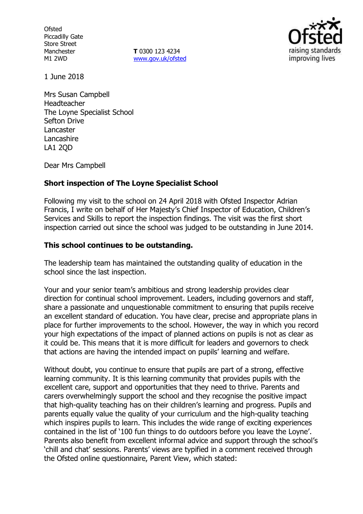**Ofsted** Piccadilly Gate Store Street Manchester M1 2WD

**T** 0300 123 4234 [www.gov.uk/ofsted](http://www.gov.uk/ofsted)



1 June 2018

Mrs Susan Campbell Headteacher The Loyne Specialist School Sefton Drive Lancaster Lancashire LA1 2QD

Dear Mrs Campbell

# **Short inspection of The Loyne Specialist School**

Following my visit to the school on 24 April 2018 with Ofsted Inspector Adrian Francis, I write on behalf of Her Majesty's Chief Inspector of Education, Children's Services and Skills to report the inspection findings. The visit was the first short inspection carried out since the school was judged to be outstanding in June 2014.

# **This school continues to be outstanding.**

The leadership team has maintained the outstanding quality of education in the school since the last inspection.

Your and your senior team's ambitious and strong leadership provides clear direction for continual school improvement. Leaders, including governors and staff, share a passionate and unquestionable commitment to ensuring that pupils receive an excellent standard of education. You have clear, precise and appropriate plans in place for further improvements to the school. However, the way in which you record your high expectations of the impact of planned actions on pupils is not as clear as it could be. This means that it is more difficult for leaders and governors to check that actions are having the intended impact on pupils' learning and welfare.

Without doubt, you continue to ensure that pupils are part of a strong, effective learning community. It is this learning community that provides pupils with the excellent care, support and opportunities that they need to thrive. Parents and carers overwhelmingly support the school and they recognise the positive impact that high-quality teaching has on their children's learning and progress. Pupils and parents equally value the quality of your curriculum and the high-quality teaching which inspires pupils to learn. This includes the wide range of exciting experiences contained in the list of '100 fun things to do outdoors before you leave the Loyne'. Parents also benefit from excellent informal advice and support through the school's 'chill and chat' sessions. Parents' views are typified in a comment received through the Ofsted online questionnaire, Parent View, which stated: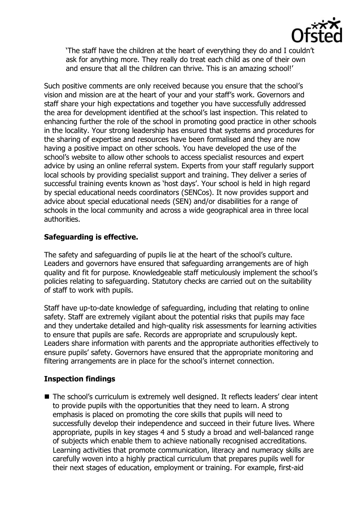

'The staff have the children at the heart of everything they do and I couldn't ask for anything more. They really do treat each child as one of their own and ensure that all the children can thrive. This is an amazing school!'

Such positive comments are only received because you ensure that the school's vision and mission are at the heart of your and your staff's work. Governors and staff share your high expectations and together you have successfully addressed the area for development identified at the school's last inspection. This related to enhancing further the role of the school in promoting good practice in other schools in the locality. Your strong leadership has ensured that systems and procedures for the sharing of expertise and resources have been formalised and they are now having a positive impact on other schools. You have developed the use of the school's website to allow other schools to access specialist resources and expert advice by using an online referral system. Experts from your staff regularly support local schools by providing specialist support and training. They deliver a series of successful training events known as 'host days'. Your school is held in high regard by special educational needs coordinators (SENCos). It now provides support and advice about special educational needs (SEN) and/or disabilities for a range of schools in the local community and across a wide geographical area in three local authorities.

# **Safeguarding is effective.**

The safety and safeguarding of pupils lie at the heart of the school's culture. Leaders and governors have ensured that safeguarding arrangements are of high quality and fit for purpose. Knowledgeable staff meticulously implement the school's policies relating to safeguarding. Statutory checks are carried out on the suitability of staff to work with pupils.

Staff have up-to-date knowledge of safeguarding, including that relating to online safety. Staff are extremely vigilant about the potential risks that pupils may face and they undertake detailed and high-quality risk assessments for learning activities to ensure that pupils are safe. Records are appropriate and scrupulously kept. Leaders share information with parents and the appropriate authorities effectively to ensure pupils' safety. Governors have ensured that the appropriate monitoring and filtering arrangements are in place for the school's internet connection.

### **Inspection findings**

■ The school's curriculum is extremely well designed. It reflects leaders' clear intent to provide pupils with the opportunities that they need to learn. A strong emphasis is placed on promoting the core skills that pupils will need to successfully develop their independence and succeed in their future lives. Where appropriate, pupils in key stages 4 and 5 study a broad and well-balanced range of subjects which enable them to achieve nationally recognised accreditations. Learning activities that promote communication, literacy and numeracy skills are carefully woven into a highly practical curriculum that prepares pupils well for their next stages of education, employment or training. For example, first-aid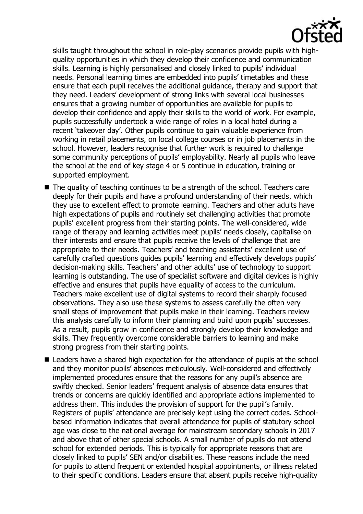

skills taught throughout the school in role-play scenarios provide pupils with highquality opportunities in which they develop their confidence and communication skills. Learning is highly personalised and closely linked to pupils' individual needs. Personal learning times are embedded into pupils' timetables and these ensure that each pupil receives the additional guidance, therapy and support that they need. Leaders' development of strong links with several local businesses ensures that a growing number of opportunities are available for pupils to develop their confidence and apply their skills to the world of work. For example, pupils successfully undertook a wide range of roles in a local hotel during a recent 'takeover day'. Other pupils continue to gain valuable experience from working in retail placements, on local college courses or in job placements in the school. However, leaders recognise that further work is required to challenge some community perceptions of pupils' employability. Nearly all pupils who leave the school at the end of key stage 4 or 5 continue in education, training or supported employment.

- $\blacksquare$  The quality of teaching continues to be a strength of the school. Teachers care deeply for their pupils and have a profound understanding of their needs, which they use to excellent effect to promote learning. Teachers and other adults have high expectations of pupils and routinely set challenging activities that promote pupils' excellent progress from their starting points. The well-considered, wide range of therapy and learning activities meet pupils' needs closely, capitalise on their interests and ensure that pupils receive the levels of challenge that are appropriate to their needs. Teachers' and teaching assistants' excellent use of carefully crafted questions guides pupils' learning and effectively develops pupils' decision-making skills. Teachers' and other adults' use of technology to support learning is outstanding. The use of specialist software and digital devices is highly effective and ensures that pupils have equality of access to the curriculum. Teachers make excellent use of digital systems to record their sharply focused observations. They also use these systems to assess carefully the often very small steps of improvement that pupils make in their learning. Teachers review this analysis carefully to inform their planning and build upon pupils' successes. As a result, pupils grow in confidence and strongly develop their knowledge and skills. They frequently overcome considerable barriers to learning and make strong progress from their starting points.
- Leaders have a shared high expectation for the attendance of pupils at the school and they monitor pupils' absences meticulously. Well-considered and effectively implemented procedures ensure that the reasons for any pupil's absence are swiftly checked. Senior leaders' frequent analysis of absence data ensures that trends or concerns are quickly identified and appropriate actions implemented to address them. This includes the provision of support for the pupil's family. Registers of pupils' attendance are precisely kept using the correct codes. Schoolbased information indicates that overall attendance for pupils of statutory school age was close to the national average for mainstream secondary schools in 2017 and above that of other special schools. A small number of pupils do not attend school for extended periods. This is typically for appropriate reasons that are closely linked to pupils' SEN and/or disabilities. These reasons include the need for pupils to attend frequent or extended hospital appointments, or illness related to their specific conditions. Leaders ensure that absent pupils receive high-quality